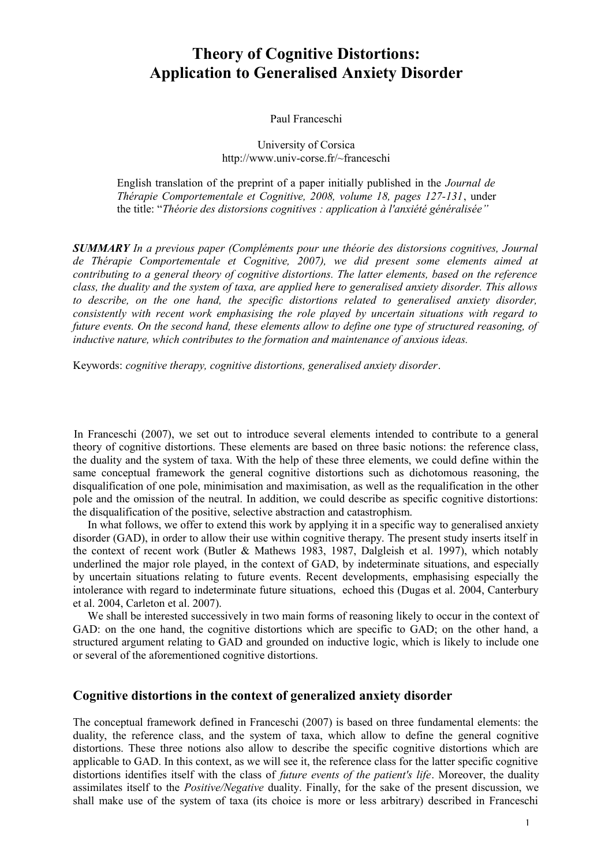# **Theory of Cognitive Distortions: Application to Generalised Anxiety Disorder**

## Paul Franceschi

## University of Corsica http://www.univ-corse.fr/~franceschi

English translation of the preprint of a paper initially published in the *Journal de Thérapie Comportementale et Cognitive, 2008, volume 18, pages 127-131*, under the title: "*Théorie des distorsions cognitives : application à l'anxiété généralisée"*

*SUMMARY In a previous paper (Compléments pour une théorie des distorsions cognitives, Journal de Thérapie Comportementale et Cognitive, 2007), we did present some elements aimed at contributing to a general theory of cognitive distortions. The latter elements, based on the reference class, the duality and the system of taxa, are applied here to generalised anxiety disorder. This allows to describe, on the one hand, the specific distortions related to generalised anxiety disorder, consistently with recent work emphasising the role played by uncertain situations with regard to future events. On the second hand, these elements allow to define one type of structured reasoning, of inductive nature, which contributes to the formation and maintenance of anxious ideas.*

Keywords: *cognitive therapy, cognitive distortions, generalised anxiety disorder*.

In Franceschi (2007), we set out to introduce several elements intended to contribute to a general theory of cognitive distortions. These elements are based on three basic notions: the reference class, the duality and the system of taxa. With the help of these three elements, we could define within the same conceptual framework the general cognitive distortions such as dichotomous reasoning, the disqualification of one pole, minimisation and maximisation, as well as the requalification in the other pole and the omission of the neutral. In addition, we could describe as specific cognitive distortions: the disqualification of the positive, selective abstraction and catastrophism.

In what follows, we offer to extend this work by applying it in a specific way to generalised anxiety disorder (GAD), in order to allow their use within cognitive therapy. The present study inserts itself in the context of recent work (Butler & Mathews 1983, 1987, Dalgleish et al. 1997), which notably underlined the major role played, in the context of GAD, by indeterminate situations, and especially by uncertain situations relating to future events. Recent developments, emphasising especially the intolerance with regard to indeterminate future situations, echoed this (Dugas et al. 2004, Canterbury et al. 2004, Carleton et al. 2007).

We shall be interested successively in two main forms of reasoning likely to occur in the context of GAD: on the one hand, the cognitive distortions which are specific to GAD; on the other hand, a structured argument relating to GAD and grounded on inductive logic, which is likely to include one or several of the aforementioned cognitive distortions.

## **Cognitive distortions in the context of generalized anxiety disorder**

The conceptual framework defined in Franceschi (2007) is based on three fundamental elements: the duality, the reference class, and the system of taxa, which allow to define the general cognitive distortions. These three notions also allow to describe the specific cognitive distortions which are applicable to GAD. In this context, as we will see it, the reference class for the latter specific cognitive distortions identifies itself with the class of *future events of the patient's life*. Moreover, the duality assimilates itself to the *Positive/Negative* duality. Finally, for the sake of the present discussion, we shall make use of the system of taxa (its choice is more or less arbitrary) described in Franceschi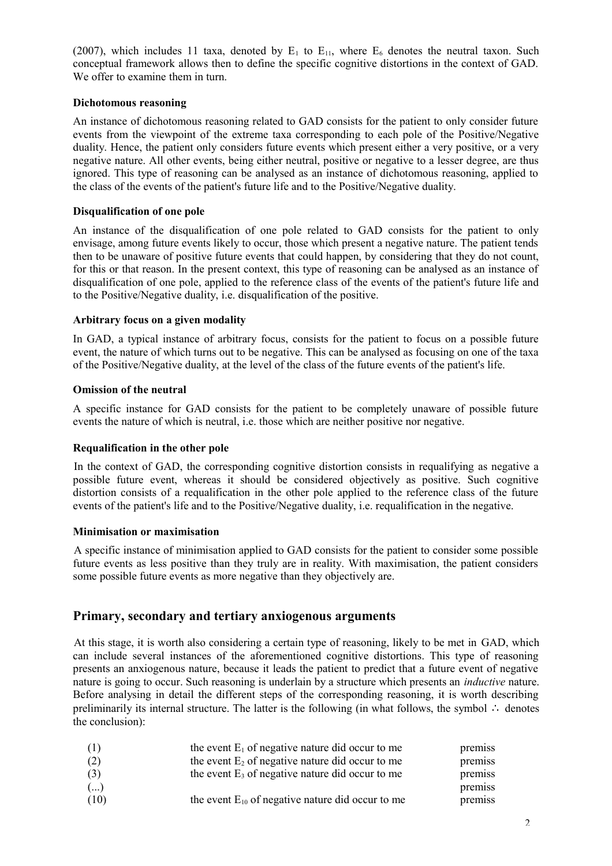(2007), which includes 11 taxa, denoted by  $E_1$  to  $E_{11}$ , where  $E_6$  denotes the neutral taxon. Such conceptual framework allows then to define the specific cognitive distortions in the context of GAD. We offer to examine them in turn.

## **Dichotomous reasoning**

An instance of dichotomous reasoning related to GAD consists for the patient to only consider future events from the viewpoint of the extreme taxa corresponding to each pole of the Positive/Negative duality. Hence, the patient only considers future events which present either a very positive, or a very negative nature. All other events, being either neutral, positive or negative to a lesser degree, are thus ignored. This type of reasoning can be analysed as an instance of dichotomous reasoning, applied to the class of the events of the patient's future life and to the Positive/Negative duality.

## **Disqualification of one pole**

An instance of the disqualification of one pole related to GAD consists for the patient to only envisage, among future events likely to occur, those which present a negative nature. The patient tends then to be unaware of positive future events that could happen, by considering that they do not count, for this or that reason. In the present context, this type of reasoning can be analysed as an instance of disqualification of one pole, applied to the reference class of the events of the patient's future life and to the Positive/Negative duality, i.e. disqualification of the positive.

## **Arbitrary focus on a given modality**

In GAD, a typical instance of arbitrary focus, consists for the patient to focus on a possible future event, the nature of which turns out to be negative. This can be analysed as focusing on one of the taxa of the Positive/Negative duality, at the level of the class of the future events of the patient's life.

## **Omission of the neutral**

A specific instance for GAD consists for the patient to be completely unaware of possible future events the nature of which is neutral, i.e. those which are neither positive nor negative.

## **Requalification in the other pole**

In the context of GAD, the corresponding cognitive distortion consists in requalifying as negative a possible future event, whereas it should be considered objectively as positive. Such cognitive distortion consists of a requalification in the other pole applied to the reference class of the future events of the patient's life and to the Positive/Negative duality, i.e. requalification in the negative.

## **Minimisation or maximisation**

A specific instance of minimisation applied to GAD consists for the patient to consider some possible future events as less positive than they truly are in reality. With maximisation, the patient considers some possible future events as more negative than they objectively are.

# **Primary, secondary and tertiary anxiogenous arguments**

At this stage, it is worth also considering a certain type of reasoning, likely to be met in GAD, which can include several instances of the aforementioned cognitive distortions. This type of reasoning presents an anxiogenous nature, because it leads the patient to predict that a future event of negative nature is going to occur. Such reasoning is underlain by a structure which presents an *inductive* nature. Before analysing in detail the different steps of the corresponding reasoning, it is worth describing preliminarily its internal structure. The latter is the following (in what follows, the symbol ∴ denotes the conclusion):

| (1)  | the event $E_1$ of negative nature did occur to me    | premiss |
|------|-------------------------------------------------------|---------|
| (2)  | the event $E_2$ of negative nature did occur to me    | premiss |
| (3)  | the event $E_3$ of negative nature did occur to me    | premiss |
| ()   |                                                       | premiss |
| (10) | the event $E_{10}$ of negative nature did occur to me | premiss |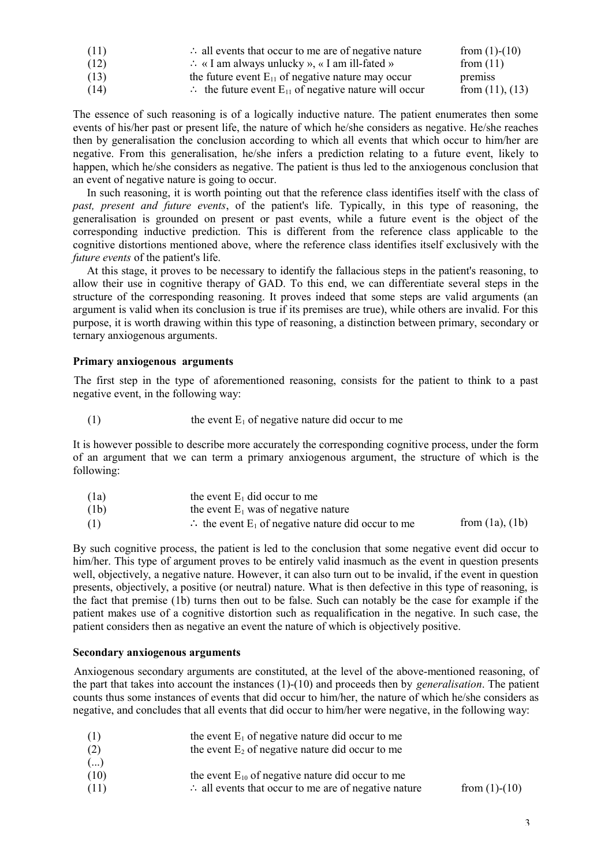| (11) | $\therefore$ all events that occur to me are of negative nature             | from $(1)-(10)$      |
|------|-----------------------------------------------------------------------------|----------------------|
| (12) | $\therefore$ « I am always unlucky », « I am ill-fated »                    | from $(11)$          |
| (13) | the future event $E_{11}$ of negative nature may occur                      | premiss              |
| (14) | $\therefore$ the future event E <sub>11</sub> of negative nature will occur | from $(11)$ , $(13)$ |

The essence of such reasoning is of a logically inductive nature. The patient enumerates then some events of his/her past or present life, the nature of which he/she considers as negative. He/she reaches then by generalisation the conclusion according to which all events that which occur to him/her are negative. From this generalisation, he/she infers a prediction relating to a future event, likely to happen, which he/she considers as negative. The patient is thus led to the anxiogenous conclusion that an event of negative nature is going to occur.

In such reasoning, it is worth pointing out that the reference class identifies itself with the class of *past, present and future events*, of the patient's life. Typically, in this type of reasoning, the generalisation is grounded on present or past events, while a future event is the object of the corresponding inductive prediction. This is different from the reference class applicable to the cognitive distortions mentioned above, where the reference class identifies itself exclusively with the *future events* of the patient's life.

At this stage, it proves to be necessary to identify the fallacious steps in the patient's reasoning, to allow their use in cognitive therapy of GAD. To this end, we can differentiate several steps in the structure of the corresponding reasoning. It proves indeed that some steps are valid arguments (an argument is valid when its conclusion is true if its premises are true), while others are invalid. For this purpose, it is worth drawing within this type of reasoning, a distinction between primary, secondary or ternary anxiogenous arguments.

## **Primary anxiogenous arguments**

The first step in the type of aforementioned reasoning, consists for the patient to think to a past negative event, in the following way:

(1) the event  $E_1$  of negative nature did occur to me

It is however possible to describe more accurately the corresponding cognitive process, under the form of an argument that we can term a primary anxiogenous argument, the structure of which is the following:

| (1a) | the event $E_1$ did occur to me                                          |                      |
|------|--------------------------------------------------------------------------|----------------------|
| (1b) | the event $E_1$ was of negative nature                                   |                      |
| (1)  | $\therefore$ the event E <sub>1</sub> of negative nature did occur to me | from $(1a)$ , $(1b)$ |

By such cognitive process, the patient is led to the conclusion that some negative event did occur to him/her. This type of argument proves to be entirely valid inasmuch as the event in question presents well, objectively, a negative nature. However, it can also turn out to be invalid, if the event in question presents, objectively, a positive (or neutral) nature. What is then defective in this type of reasoning, is the fact that premise (1b) turns then out to be false. Such can notably be the case for example if the patient makes use of a cognitive distortion such as requalification in the negative. In such case, the patient considers then as negative an event the nature of which is objectively positive.

#### **Secondary anxiogenous arguments**

Anxiogenous secondary arguments are constituted, at the level of the above-mentioned reasoning, of the part that takes into account the instances (1)-(10) and proceeds then by *generalisation*. The patient counts thus some instances of events that did occur to him/her, the nature of which he/she considers as negative, and concludes that all events that did occur to him/her were negative, in the following way:

| (1)  | the event $E_1$ of negative nature did occur to me              |                 |
|------|-----------------------------------------------------------------|-----------------|
| (2)  | the event $E_2$ of negative nature did occur to me              |                 |
| ()   |                                                                 |                 |
| (10) | the event $E_{10}$ of negative nature did occur to me           |                 |
| (11) | $\therefore$ all events that occur to me are of negative nature | from $(1)-(10)$ |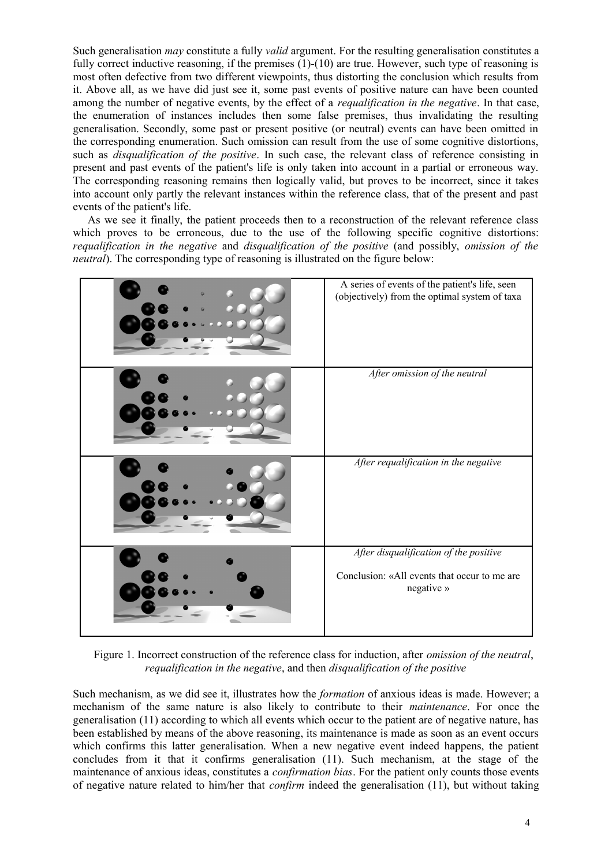Such generalisation *may* constitute a fully *valid* argument. For the resulting generalisation constitutes a fully correct inductive reasoning, if the premises (1)-(10) are true. However, such type of reasoning is most often defective from two different viewpoints, thus distorting the conclusion which results from it. Above all, as we have did just see it, some past events of positive nature can have been counted among the number of negative events, by the effect of a *requalification in the negative*. In that case, the enumeration of instances includes then some false premises, thus invalidating the resulting generalisation. Secondly, some past or present positive (or neutral) events can have been omitted in the corresponding enumeration. Such omission can result from the use of some cognitive distortions, such as *disqualification of the positive*. In such case, the relevant class of reference consisting in present and past events of the patient's life is only taken into account in a partial or erroneous way. The corresponding reasoning remains then logically valid, but proves to be incorrect, since it takes into account only partly the relevant instances within the reference class, that of the present and past events of the patient's life.

As we see it finally, the patient proceeds then to a reconstruction of the relevant reference class which proves to be erroneous, due to the use of the following specific cognitive distortions: *requalification in the negative* and *disqualification of the positive* (and possibly, *omission of the neutral*). The corresponding type of reasoning is illustrated on the figure below:



Figure 1. Incorrect construction of the reference class for induction, after *omission of the neutral*, *requalification in the negative*, and then *disqualification of the positive*

Such mechanism, as we did see it, illustrates how the *formation* of anxious ideas is made. However; a mechanism of the same nature is also likely to contribute to their *maintenance*. For once the generalisation (11) according to which all events which occur to the patient are of negative nature, has been established by means of the above reasoning, its maintenance is made as soon as an event occurs which confirms this latter generalisation. When a new negative event indeed happens, the patient concludes from it that it confirms generalisation (11). Such mechanism, at the stage of the maintenance of anxious ideas, constitutes a *confirmation bias*. For the patient only counts those events of negative nature related to him/her that *confirm* indeed the generalisation (11), but without taking